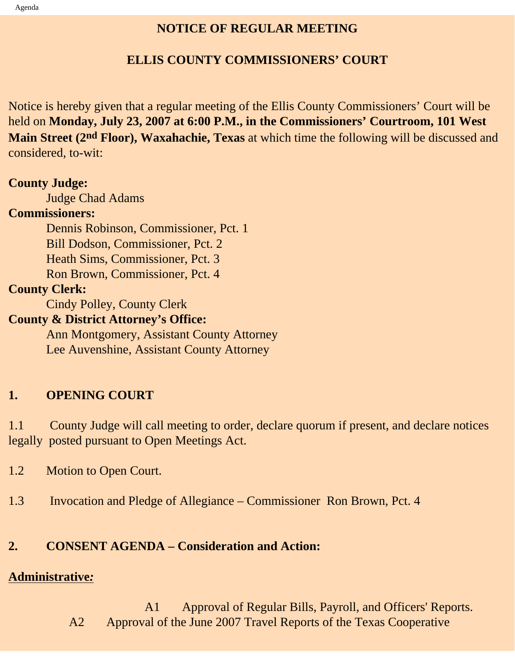## **NOTICE OF REGULAR MEETING**

## **ELLIS COUNTY COMMISSIONERS' COURT**

Notice is hereby given that a regular meeting of the Ellis County Commissioners' Court will be held on **Monday, July 23, 2007 at 6:00 P.M., in the Commissioners' Courtroom, 101 West Main Street (2nd Floor), Waxahachie, Texas** at which time the following will be discussed and considered, to-wit:

### **County Judge:**

Judge Chad Adams

#### **Commissioners:**

 Dennis Robinson, Commissioner, Pct. 1 Bill Dodson, Commissioner, Pct. 2 Heath Sims, Commissioner, Pct. 3 Ron Brown, Commissioner, Pct. 4

## **County Clerk:**

Cindy Polley, County Clerk

### **County & District Attorney's Office:**

 Ann Montgomery, Assistant County Attorney Lee Auvenshine, Assistant County Attorney

# **1. OPENING COURT**

1.1 County Judge will call meeting to order, declare quorum if present, and declare notices legally posted pursuant to Open Meetings Act.

- 1.2 Motion to Open Court.
- 1.3 Invocation and Pledge of Allegiance Commissioner Ron Brown, Pct. 4

# **2. CONSENT AGENDA – Consideration and Action:**

# **Administrative***:*

 A1 Approval of Regular Bills, Payroll, and Officers' Reports. A2 Approval of the June 2007 Travel Reports of the Texas Cooperative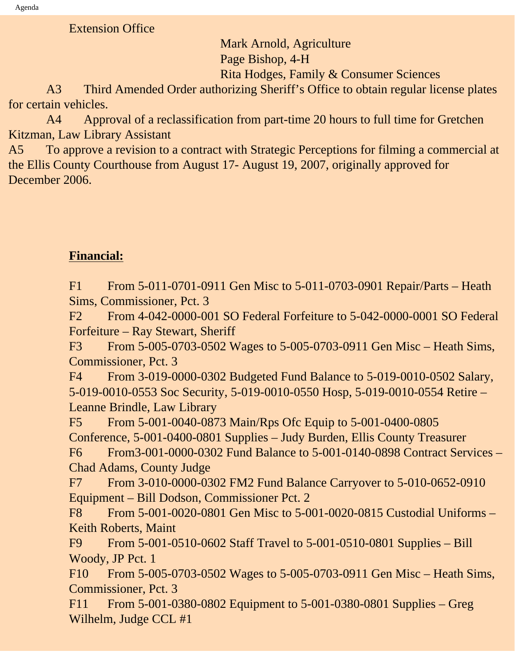Extension Office

Mark Arnold, Agriculture

Page Bishop, 4-H

Rita Hodges, Family & Consumer Sciences

 A3 Third Amended Order authorizing Sheriff's Office to obtain regular license plates for certain vehicles.

 A4 Approval of a reclassification from part-time 20 hours to full time for Gretchen Kitzman, Law Library Assistant

A5 To approve a revision to a contract with Strategic Perceptions for filming a commercial at the Ellis County Courthouse from August 17- August 19, 2007, originally approved for December 2006.

# **Financial:**

F1 From 5-011-0701-0911 Gen Misc to 5-011-0703-0901 Repair/Parts – Heath Sims, Commissioner, Pct. 3

F2 From 4-042-0000-001 SO Federal Forfeiture to 5-042-0000-0001 SO Federal Forfeiture – Ray Stewart, Sheriff

F3 From 5-005-0703-0502 Wages to 5-005-0703-0911 Gen Misc – Heath Sims, Commissioner, Pct. 3

F4 From 3-019-0000-0302 Budgeted Fund Balance to 5-019-0010-0502 Salary, 5-019-0010-0553 Soc Security, 5-019-0010-0550 Hosp, 5-019-0010-0554 Retire – Leanne Brindle, Law Library

F5 From 5-001-0040-0873 Main/Rps Ofc Equip to 5-001-0400-0805 Conference, 5-001-0400-0801 Supplies – Judy Burden, Ellis County Treasurer F6 From3-001-0000-0302 Fund Balance to 5-001-0140-0898 Contract Services – Chad Adams, County Judge

F7 From 3-010-0000-0302 FM2 Fund Balance Carryover to 5-010-0652-0910 Equipment – Bill Dodson, Commissioner Pct. 2

F8 From 5-001-0020-0801 Gen Misc to 5-001-0020-0815 Custodial Uniforms – Keith Roberts, Maint

F9 From 5-001-0510-0602 Staff Travel to 5-001-0510-0801 Supplies – Bill Woody, JP Pct. 1

F10 From 5-005-0703-0502 Wages to 5-005-0703-0911 Gen Misc – Heath Sims, Commissioner, Pct. 3

F11 From 5-001-0380-0802 Equipment to 5-001-0380-0801 Supplies – Greg Wilhelm, Judge CCL #1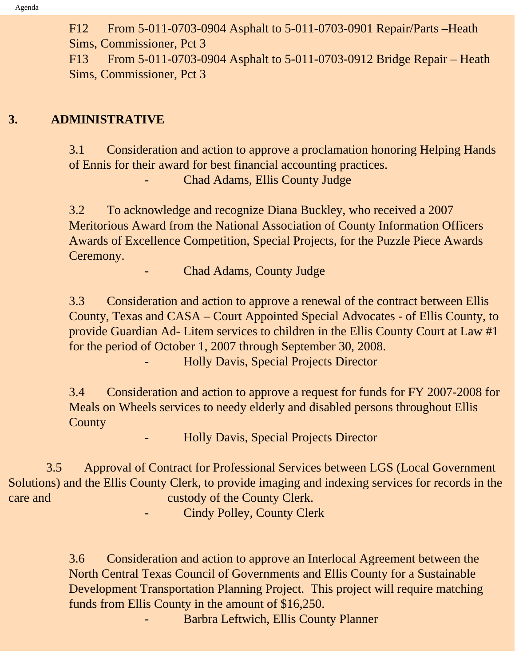F12 From 5-011-0703-0904 Asphalt to 5-011-0703-0901 Repair/Parts –Heath Sims, Commissioner, Pct 3

F13 From 5-011-0703-0904 Asphalt to 5-011-0703-0912 Bridge Repair – Heath Sims, Commissioner, Pct 3

### **3. ADMINISTRATIVE**

3.1 Consideration and action to approve a proclamation honoring Helping Hands of Ennis for their award for best financial accounting practices. - Chad Adams, Ellis County Judge

3.2 To acknowledge and recognize Diana Buckley, who received a 2007 Meritorious Award from the National Association of County Information Officers Awards of Excellence Competition, Special Projects, for the Puzzle Piece Awards Ceremony.

Chad Adams, County Judge

3.3 Consideration and action to approve a renewal of the contract between Ellis County, Texas and CASA – Court Appointed Special Advocates - of Ellis County, to provide Guardian Ad- Litem services to children in the Ellis County Court at Law #1 for the period of October 1, 2007 through September 30, 2008.

- Holly Davis, Special Projects Director

3.4 Consideration and action to approve a request for funds for FY 2007-2008 for Meals on Wheels services to needy elderly and disabled persons throughout Ellis **County** 

- Holly Davis, Special Projects Director

 3.5 Approval of Contract for Professional Services between LGS (Local Government Solutions) and the Ellis County Clerk, to provide imaging and indexing services for records in the care and custody of the County Clerk.

Cindy Polley, County Clerk

3.6 Consideration and action to approve an Interlocal Agreement between the North Central Texas Council of Governments and Ellis County for a Sustainable Development Transportation Planning Project. This project will require matching funds from Ellis County in the amount of \$16,250.

- Barbra Leftwich, Ellis County Planner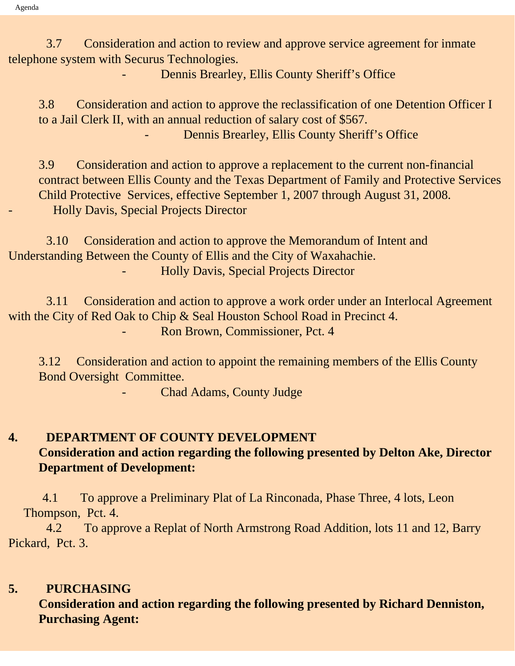3.7 Consideration and action to review and approve service agreement for inmate telephone system with Securus Technologies.

Dennis Brearley, Ellis County Sheriff's Office

3.8 Consideration and action to approve the reclassification of one Detention Officer I to a Jail Clerk II, with an annual reduction of salary cost of \$567. Dennis Brearley, Ellis County Sheriff's Office

3.9 Consideration and action to approve a replacement to the current non-financial contract between Ellis County and the Texas Department of Family and Protective Services Child Protective Services, effective September 1, 2007 through August 31, 2008. - Holly Davis, Special Projects Director

 3.10 Consideration and action to approve the Memorandum of Intent and Understanding Between the County of Ellis and the City of Waxahachie. - Holly Davis, Special Projects Director

 3.11 Consideration and action to approve a work order under an Interlocal Agreement with the City of Red Oak to Chip & Seal Houston School Road in Precinct 4. Ron Brown, Commissioner, Pct. 4

3.12 Consideration and action to appoint the remaining members of the Ellis County Bond Oversight Committee.

Chad Adams, County Judge

### **4. DEPARTMENT OF COUNTY DEVELOPMENT Consideration and action regarding the following presented by Delton Ake, Director Department of Development:**

 4.1 To approve a Preliminary Plat of La Rinconada, Phase Three, 4 lots, Leon Thompson, Pct. 4.

 4.2 To approve a Replat of North Armstrong Road Addition, lots 11 and 12, Barry Pickard, Pct. 3.

#### **5. PURCHASING**

**Consideration and action regarding the following presented by Richard Denniston, Purchasing Agent:**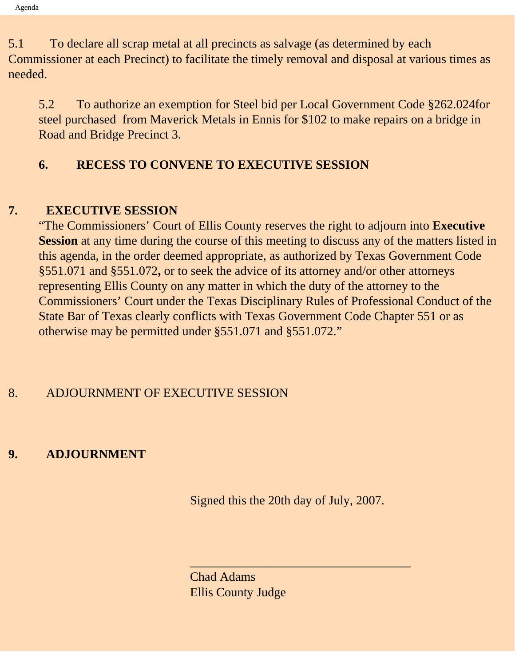5.1 To declare all scrap metal at all precincts as salvage (as determined by each Commissioner at each Precinct) to facilitate the timely removal and disposal at various times as needed.

5.2 To authorize an exemption for Steel bid per Local Government Code §262.024for steel purchased from Maverick Metals in Ennis for \$102 to make repairs on a bridge in Road and Bridge Precinct 3.

### **6. RECESS TO CONVENE TO EXECUTIVE SESSION**

### **7. EXECUTIVE SESSION**

"The Commissioners' Court of Ellis County reserves the right to adjourn into **Executive Session** at any time during the course of this meeting to discuss any of the matters listed in this agenda, in the order deemed appropriate, as authorized by Texas Government Code §551.071 and §551.072**,** or to seek the advice of its attorney and/or other attorneys representing Ellis County on any matter in which the duty of the attorney to the Commissioners' Court under the Texas Disciplinary Rules of Professional Conduct of the State Bar of Texas clearly conflicts with Texas Government Code Chapter 551 or as otherwise may be permitted under §551.071 and §551.072."

### 8. ADJOURNMENT OF EXECUTIVE SESSION

### **9. ADJOURNMENT**

Signed this the 20th day of July, 2007.

 $\overline{\phantom{a}}$  , and the set of the set of the set of the set of the set of the set of the set of the set of the set of the set of the set of the set of the set of the set of the set of the set of the set of the set of the s

Chad Adams Ellis County Judge